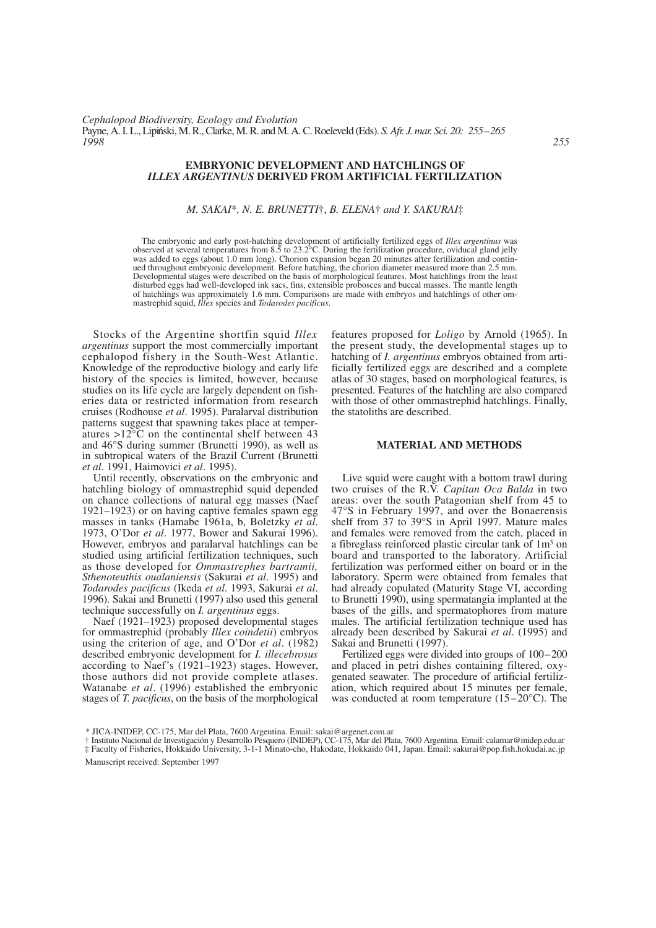## **EMBRYONIC DEVELOPMENT AND HATCHLINGS OF**  *ILLEX ARGENTINUS* **DERIVED FROM ARTIFICIAL FERTILIZATION**

## *M. SAKAI*\**, N. E. BRUNETTI*†, *B. ELENA*† *and Y. SAKURAI*‡

The embryonic and early post-hatching development of artificially fertilized eggs of *Illex argentinus* was observed at several temperatures from  $8.\overline{5}$  to  $23.2^{\circ}$ C. During the fertilization procedure, oviducal gland jelly was added to eggs (about 1.0 mm long). Chorion expansion began 20 minutes after fertilization and continued throughout embryonic development. Before hatching, the chorion diameter measured more than 2.5 mm. Developmental stages were described on the basis of morphological features. Most hatchlings from the least disturbed eggs had well-developed ink sacs, fins, extensible probosces and buccal masses. The mantle length of hatchlings was approximately 1.6 mm. Comparisons are made with embryos and hatchlings of other ommastrephid squid, *Illex* species and *Todarodes pacificus*.

Stocks of the Argentine shortfin squid *Illex argentinus* support the most commercially important cephalopod fishery in the South-West Atlantic. Knowledge of the reproductive biology and early life history of the species is limited, however, because studies on its life cycle are largely dependent on fisheries data or restricted information from research cruises (Rodhouse *et al*. 1995). Paralarval distribution patterns suggest that spawning takes place at temperatures >12°C on the continental shelf between 43 and 46°S during summer (Brunetti 1990), as well as in subtropical waters of the Brazil Current (Brunetti *et al*. 1991, Haimovici *et al*. 1995).

Until recently, observations on the embryonic and hatchling biology of ommastrephid squid depended on chance collections of natural egg masses (Naef 1921–1923) or on having captive females spawn egg masses in tanks (Hamabe 1961a, b, Boletzky *et al*. 1973, O'Dor *et al*. 1977, Bower and Sakurai 1996). However, embryos and paralarval hatchlings can be studied using artificial fertilization techniques, such as those developed for *Ommastrephes bartramii, Sthenoteuthis oualaniensis* (Sakurai *et al*. 1995) and *Todarodes pacificus* (Ikeda *et al*. 1993, Sakurai *et al*. 1996). Sakai and Brunetti (1997) also used this general technique successfully on *I. argentinus* eggs.

Naef (1921–1923) proposed developmental stages for ommastrephid (probably *Illex coindetii*) embryos using the criterion of age, and O'Dor *et al*. (1982) described embryonic development for *I. illecebrosus* according to Naef's (1921–1923) stages. However, those authors did not provide complete atlases. Watanabe *et al*. (1996) established the embryonic stages of *T. pacificus*, on the basis of the morphological features proposed for *Loligo* by Arnold (1965). In the present study, the developmental stages up to hatching of *I. argentinus* embryos obtained from artificially fertilized eggs are described and a complete atlas of 30 stages, based on morphological features, is presented. Features of the hatchling are also compared with those of other ommastrephid hatchlings. Finally, the statoliths are described.

## **MATERIAL AND METHODS**

Live squid were caught with a bottom trawl during two cruises of the R.V. *Capitan Oca Balda* in two areas: over the south Patagonian shelf from 45 to 47°S in February 1997, and over the Bonaerensis shelf from 37 to 39°S in April 1997. Mature males and females were removed from the catch, placed in a fibreglass reinforced plastic circular tank of 1m3 on board and transported to the laboratory. Artificial fertilization was performed either on board or in the laboratory. Sperm were obtained from females that had already copulated (Maturity Stage VI, according to Brunetti 1990), using spermatangia implanted at the bases of the gills, and spermatophores from mature males. The artificial fertilization technique used has already been described by Sakurai *et al*. (1995) and Sakai and Brunetti (1997).

Fertilized eggs were divided into groups of 100–200 and placed in petri dishes containing filtered, oxygenated seawater. The procedure of artificial fertilization, which required about 15 minutes per female, was conducted at room temperature (15–20°C). The

Manuscript received: September 1997

<sup>\*</sup> JICA-INIDEP, CC-175, Mar del Plata, 7600 Argentina. Email: sakai@argenet.com.ar

<sup>†</sup> Instituto Nacional de Investigación y Desarrollo Pesquero (INIDEP), CC-175, Mar del Plata, 7600 Argentina. Email: calamar@inidep.edu.ar

<sup>‡</sup> Faculty of Fisheries, Hokkaido University, 3-1-1 Minato-cho, Hakodate, Hokkaido 041, Japan. Email: sakurai@pop.fish.hokudai.ac.jp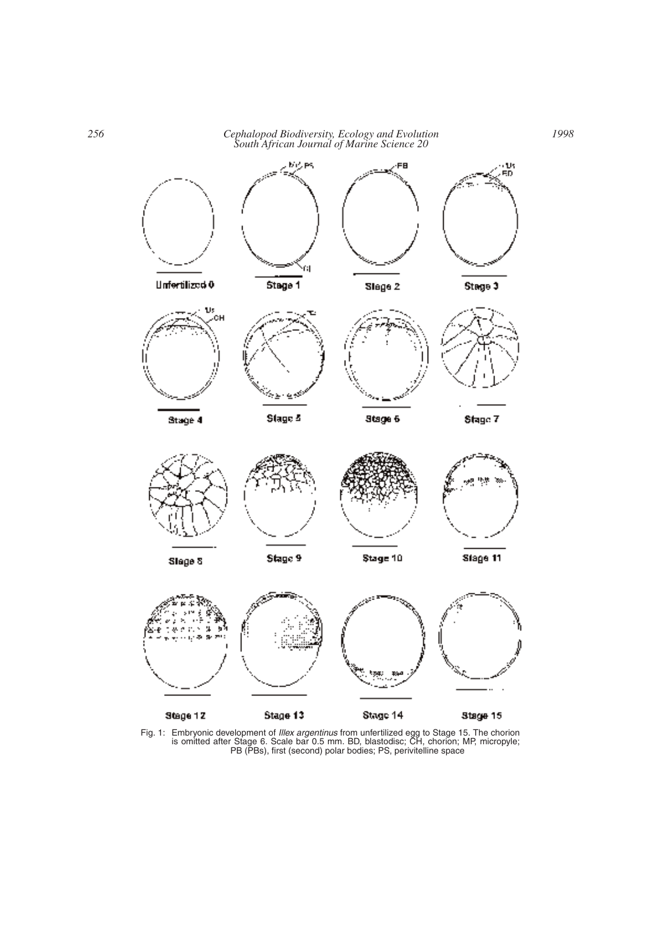

Fig. 1: Embryonic development of *Illex argentinus* from unfertilized egg to Stage 15. The chorion is omitted after Stage 6. Scale bar 0.5 mm. BD, blastodisc; CH, chorion; MP, micropyle; PB (PBs), first (second) polar bodies; PS, perivitelline space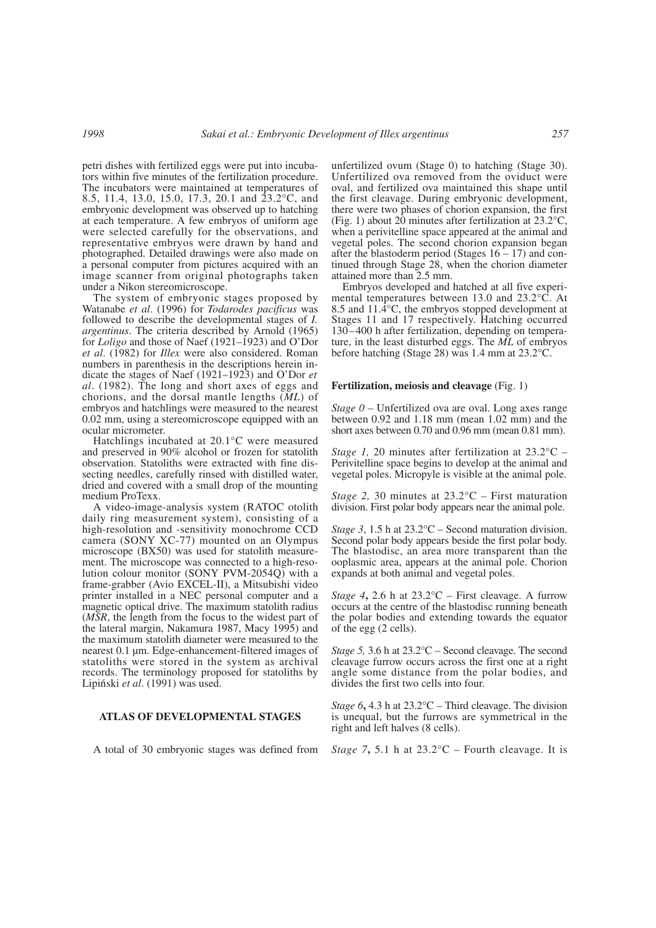petri dishes with fertilized eggs were put into incubators within five minutes of the fertilization procedure. The incubators were maintained at temperatures of 8.5, 11.4, 13.0, 15.0, 17.3, 20.1 and 23.2°C, and embryonic development was observed up to hatching at each temperature. A few embryos of uniform age were selected carefully for the observations, and representative embryos were drawn by hand and photographed. Detailed drawings were also made on a personal computer from pictures acquired with an image scanner from original photographs taken under a Nikon stereomicroscope.

The system of embryonic stages proposed by Watanabe *et al*. (1996) for *Todarodes pacificus* was followed to describe the developmental stages of *I. argentinus*. The criteria described by Arnold (1965) for *Loligo* and those of Naef (1921–1923) and O'Dor *et al*. (1982) for *Illex* were also considered. Roman numbers in parenthesis in the descriptions herein indicate the stages of Naef (1921–1923) and O'Dor *et al*. (1982). The long and short axes of eggs and chorions, and the dorsal mantle lengths (*ML*) of embryos and hatchlings were measured to the nearest 0.02 mm, using a stereomicroscope equipped with an ocular micrometer.

Hatchlings incubated at 20.1°C were measured and preserved in 90% alcohol or frozen for statolith observation. Statoliths were extracted with fine dissecting needles, carefully rinsed with distilled water, dried and covered with a small drop of the mounting medium ProTexx.

A video-image-analysis system (RATOC otolith daily ring measurement system), consisting of a high-resolution and -sensitivity monochrome CCD camera (SONY XC-77) mounted on an Olympus microscope (BX50) was used for statolith measurement. The microscope was connected to a high-resolution colour monitor (SONY PVM-2054Q) with a frame-grabber (Avio EXCEL-II), a Mitsubishi video printer installed in a NEC personal computer and a magnetic optical drive. The maximum statolith radius (*MSR*, the length from the focus to the widest part of the lateral margin, Nakamura 1987, Macy 1995) and the maximum statolith diameter were measured to the nearest 0.1 µm. Edge-enhancement-filtered images of statoliths were stored in the system as archival records. The terminology proposed for statoliths by Lipiński *et al.* (1991) was used.

# **ATLAS OF DEVELOPMENTAL STAGES**

A total of 30 embryonic stages was defined from

unfertilized ovum (Stage 0) to hatching (Stage 30). Unfertilized ova removed from the oviduct were oval, and fertilized ova maintained this shape until the first cleavage. During embryonic development, there were two phases of chorion expansion, the first (Fig. 1) about  $2\overline{0}$  minutes after fertilization at 23.2°C, when a perivitelline space appeared at the animal and vegetal poles. The second chorion expansion began after the blastoderm period (Stages  $16 - 17$ ) and continued through Stage 28, when the chorion diameter attained more than 2.5 mm.

Embryos developed and hatched at all five experimental temperatures between 13.0 and 23.2°C. At 8.5 and  $11.\overline{4}^{\circ}C$ , the embryos stopped development at Stages 11 and 17 respectively. Hatching occurred 130–400 h after fertilization, depending on temperature, in the least disturbed eggs. The *ML* of embryos before hatching (Stage 28) was 1.4 mm at 23.2°C.

### **Fertilization, meiosis and cleavage** (Fig. 1)

*Stage 0* – Unfertilized ova are oval. Long axes range between 0.92 and 1.18 mm (mean 1.02 mm) and the short axes between 0.70 and 0.96 mm (mean 0.81 mm).

*Stage 1,* 20 minutes after fertilization at 23.2°C – Perivitelline space begins to develop at the animal and vegetal poles. Micropyle is visible at the animal pole.

*Stage 2,* 30 minutes at 23.2°C – First maturation division. First polar body appears near the animal pole.

*Stage 3*, 1.5 h at 23.2°C – Second maturation division. Second polar body appears beside the first polar body. The blastodisc, an area more transparent than the ooplasmic area, appears at the animal pole. Chorion expands at both animal and vegetal poles.

*Stage 4*, 2.6 h at  $23.2^{\circ}C$  – First cleavage. A furrow occurs at the centre of the blastodisc running beneath the polar bodies and extending towards the equator of the egg (2 cells).

*Stage 5,* 3.6 h at 23.2°C – Second cleavage. The second cleavage furrow occurs across the first one at a right angle some distance from the polar bodies, and divides the first two cells into four.

*Stage 6***,** 4.3 h at 23.2°C – Third cleavage. The division is unequal, but the furrows are symmetrical in the right and left halves (8 cells).

*Stage 7***,** 5.1 h at 23.2°C – Fourth cleavage. It is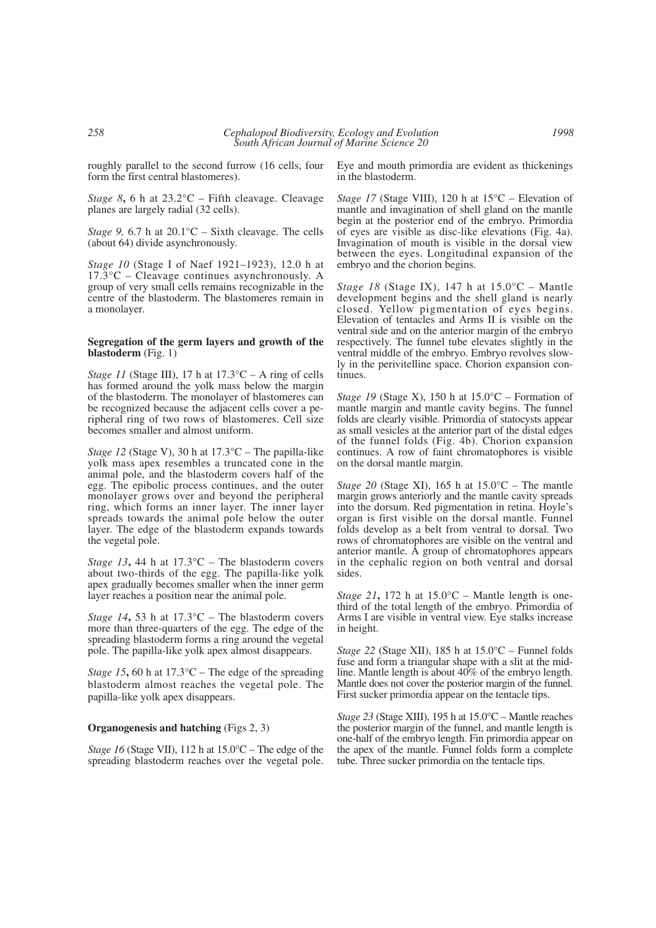roughly parallel to the second furrow (16 cells, four form the first central blastomeres).

*Stage 8***,** 6 h at 23.2°C – Fifth cleavage. Cleavage planes are largely radial (32 cells).

*Stage 9,* 6.7 h at 20.1 °C – Sixth cleavage. The cells (about 64) divide asynchronously.

*Stage 10* (Stage I of Naef 1921–1923), 12.0 h at  $17.\overline{3}^{\circ}C$  – Cleavage continues asynchronously. A group of very small cells remains recognizable in the centre of the blastoderm. The blastomeres remain in a monolayer.

## **Segregation of the germ layers and growth of the blastoderm** (Fig. 1)

*Stage 11* (Stage III), 17 h at  $17.3^{\circ}C - A$  ring of cells has formed around the yolk mass below the margin of the blastoderm. The monolayer of blastomeres can be recognized because the adjacent cells cover a peripheral ring of two rows of blastomeres. Cell size becomes smaller and almost uniform.

*Stage 12* (Stage V), 30 h at 17.3°C – The papilla-like yolk mass apex resembles a truncated cone in the animal pole, and the blastoderm covers half of the egg. The epibolic process continues, and the outer monolayer grows over and beyond the peripheral ring, which forms an inner layer. The inner layer spreads towards the animal pole below the outer layer. The edge of the blastoderm expands towards the vegetal pole.

*Stage 13*, 44 h at  $17.3^{\circ}$ C – The blastoderm covers about two-thirds of the egg. The papilla-like yolk apex gradually becomes smaller when the inner germ layer reaches a position near the animal pole.

*Stage 14***,** 53 h at 17.3°C – The blastoderm covers more than three-quarters of the egg. The edge of the spreading blastoderm forms a ring around the vegetal pole. The papilla-like yolk apex almost disappears.

*Stage 15*, 60 h at  $17.3^{\circ}$ C – The edge of the spreading blastoderm almost reaches the vegetal pole. The papilla-like yolk apex disappears.

# **Organogenesis and hatching** (Figs 2, 3)

*Stage 16* (Stage VII), 112 h at 15.0°C – The edge of the spreading blastoderm reaches over the vegetal pole.

Eye and mouth primordia are evident as thickenings in the blastoderm.

*Stage 17* (Stage VIII), 120 h at 15<sup>o</sup>C – Elevation of mantle and invagination of shell gland on the mantle begin at the posterior end of the embryo. Primordia of eyes are visible as disc-like elevations (Fig. 4a). Invagination of mouth is visible in the dorsal view between the eyes. Longitudinal expansion of the embryo and the chorion begins.

*Stage 18* (Stage IX), 147 h at 15.0°C – Mantle development begins and the shell gland is nearly closed. Yellow pigmentation of eyes begins. Elevation of tentacles and Arms II is visible on the ventral side and on the anterior margin of the embryo respectively. The funnel tube elevates slightly in the ventral middle of the embryo. Embryo revolves slowly in the perivitelline space. Chorion expansion continues.

*Stage 19* (Stage X), 150 h at 15.0°C – Formation of mantle margin and mantle cavity begins. The funnel folds are clearly visible. Primordia of statocysts appear as small vesicles at the anterior part of the distal edges of the funnel folds (Fig. 4b). Chorion expansion continues. A row of faint chromatophores is visible on the dorsal mantle margin.

*Stage 20* (Stage XI), 165 h at 15.0°C – The mantle margin grows anteriorly and the mantle cavity spreads into the dorsum. Red pigmentation in retina. Hoyle's organ is first visible on the dorsal mantle. Funnel folds develop as a belt from ventral to dorsal. Two rows of chromatophores are visible on the ventral and anterior mantle. A group of chromatophores appears in the cephalic region on both ventral and dorsal sides.

*Stage 21***,** 172 h at 15.0°C – Mantle length is onethird of the total length of the embryo. Primordia of Arms I are visible in ventral view. Eye stalks increase in height.

*Stage 22* (Stage XII), 185 h at  $15.0^{\circ}$ C – Funnel folds fuse and form a triangular shape with a slit at the midline. Mantle length is about 40% of the embryo length. Mantle does not cover the posterior margin of the funnel. First sucker primordia appear on the tentacle tips.

*Stage 23* (Stage XIII), 195 h at 15.0°C – Mantle reaches the posterior margin of the funnel, and mantle length is one-half of the embryo length. Fin primordia appear on the apex of the mantle. Funnel folds form a complete tube. Three sucker primordia on the tentacle tips.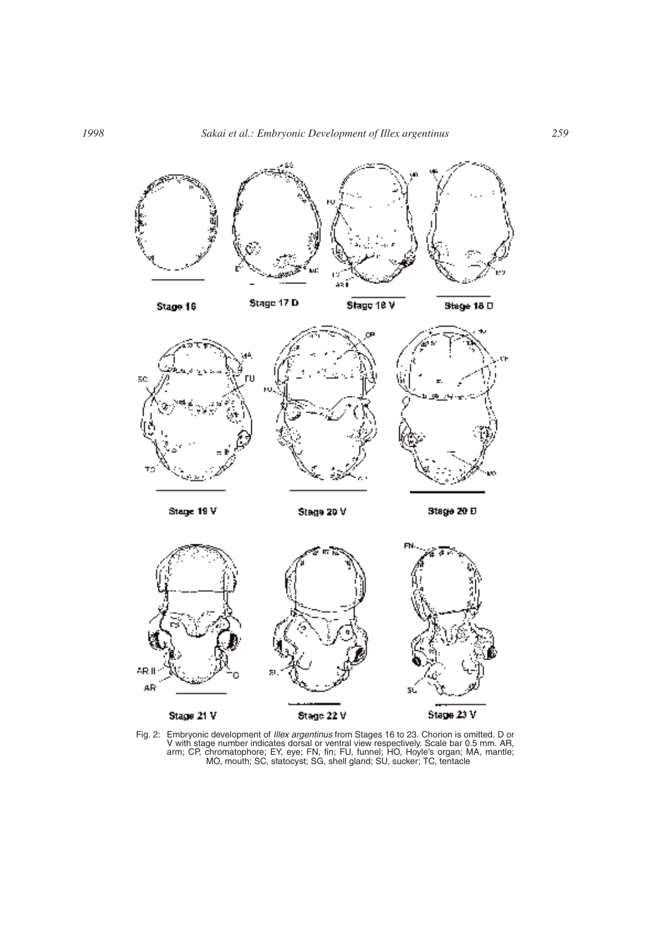







Stage 18 V

Stage 18 D



 $ARI$ AR Stage 22 V Stage 21 V Stage 23 V

Fig. 2: Embryonic development of *Illex argentinus* from Stages 16 to 23. Chorion is omitted. D or V with stage number indicates dorsal or ventral view respectively. Scale bar 0.5 mm. AR, arm; CP, chromatophore; EY, eye; FN, fin; FU, funnel; HO, Hoyle's organ; MA, mantle; MO, mouth; SC, statocyst; SG, shell gland; SU, sucker; TC, tentacle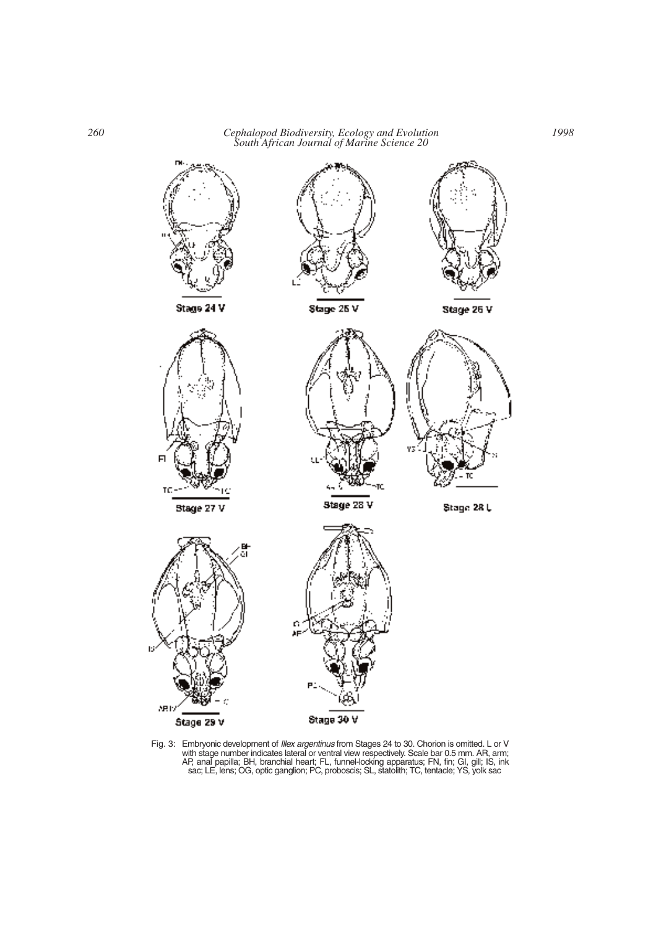

Fig. 3: Embryonic development of *Illex argentinus* from Stages 24 to 30. Chorion is omitted. L or V with stage number indicates lateral or ventral view respectively. Scale bar 0.5 mm. AR, arm; AP, anal papilla; BH, branchial heart; FL, funnel-locking apparatus; FN, fin; GI, gill; IS, ink sac; LE, lens; OG, optic ganglion; PC, proboscis; SL, statolith; TC, tentacle; YS, yolk sac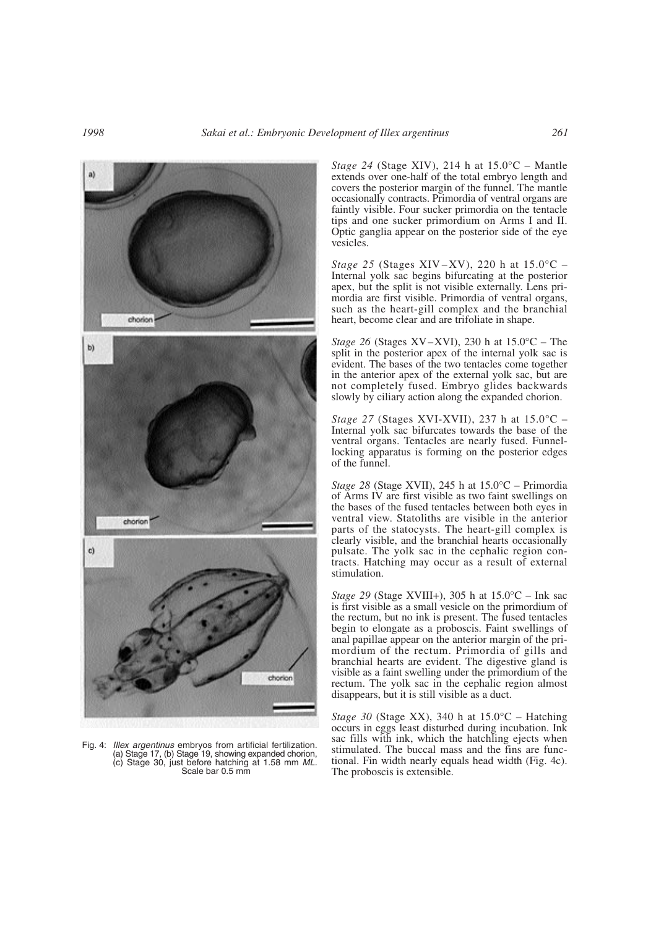

Fig. 4: *Illex argentinus* embryos from artificial fertilization. (a) Stage 17, (b) Stage 19, showing expanded chorion, (c) Stage 30, just before hatching at 1.58 mm *ML.* Scale bar 0.5 mm

*Stage 24* (Stage XIV), 214 h at 15.0°C – Mantle extends over one-half of the total embryo length and covers the posterior margin of the funnel. The mantle occasionally contracts. Primordia of ventral organs are faintly visible. Four sucker primordia on the tentacle tips and one sucker primordium on Arms I and II. Optic ganglia appear on the posterior side of the eye vesicles.

*Stage 25* (Stages XIV–XV), 220 h at  $15.0^{\circ}$ C – Internal yolk sac begins bifurcating at the posterior apex, but the split is not visible externally. Lens primordia are first visible. Primordia of ventral organs, such as the heart-gill complex and the branchial heart, become clear and are trifoliate in shape.

*Stage 26* (Stages XV–XVI), 230 h at 15.0°C – The split in the posterior apex of the internal yolk sac is evident. The bases of the two tentacles come together in the anterior apex of the external yolk sac, but are not completely fused. Embryo glides backwards slowly by ciliary action along the expanded chorion.

*Stage 27* (Stages XVI-XVII), 237 h at 15.0°C – Internal yolk sac bifurcates towards the base of the ventral organs. Tentacles are nearly fused. Funnellocking apparatus is forming on the posterior edges of the funnel.

*Stage 28* (Stage XVII), 245 h at 15.0°C – Primordia of Arms IV are first visible as two faint swellings on the bases of the fused tentacles between both eyes in ventral view. Statoliths are visible in the anterior parts of the statocysts. The heart-gill complex is clearly visible, and the branchial hearts occasionally pulsate. The yolk sac in the cephalic region contracts. Hatching may occur as a result of external stimulation.

*Stage 29* (Stage XVIII+), 305 h at 15.0°C – Ink sac is first visible as a small vesicle on the primordium of the rectum, but no ink is present. The fused tentacles begin to elongate as a proboscis. Faint swellings of anal papillae appear on the anterior margin of the primordium of the rectum. Primordia of gills and branchial hearts are evident. The digestive gland is visible as a faint swelling under the primordium of the rectum. The yolk sac in the cephalic region almost disappears, but it is still visible as a duct.

*Stage 30* (Stage XX), 340 h at 15.0°C – Hatching occurs in eggs least disturbed during incubation. Ink sac fills with ink, which the hatchling ejects when stimulated. The buccal mass and the fins are functional. Fin width nearly equals head width (Fig. 4c). The proboscis is extensible.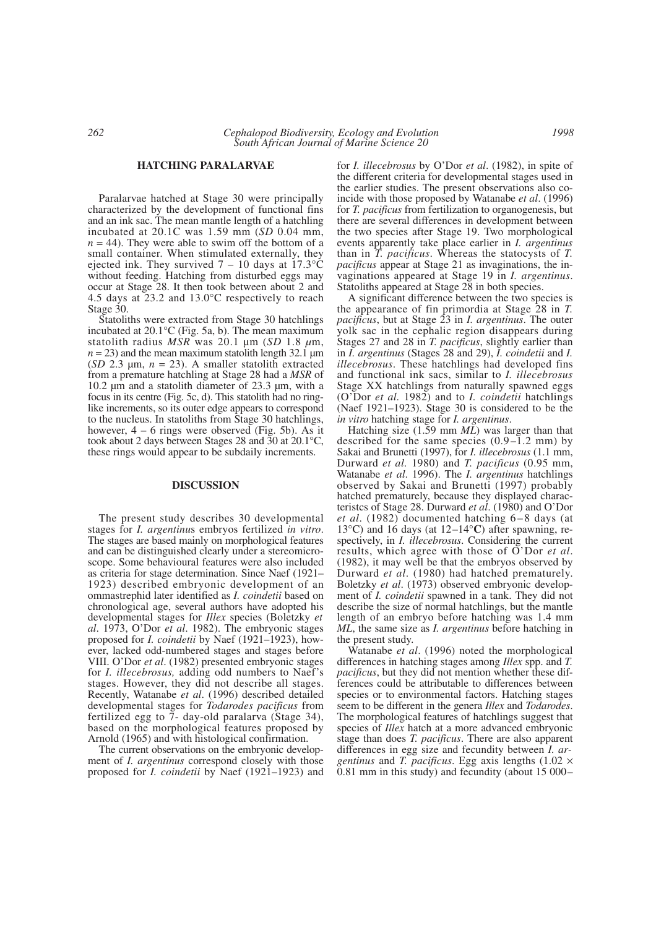### **HATCHING PARALARVAE**

Paralarvae hatched at Stage 30 were principally characterized by the development of functional fins and an ink sac. The mean mantle length of a hatchling incubated at 20.1C was 1.59 mm (*SD* 0.04 mm,  $n = 44$ ). They were able to swim off the bottom of a small container. When stimulated externally, they ejected ink. They survived  $7 - 10$  days at 17.3 °C without feeding. Hatching from disturbed eggs may occur at Stage 28. It then took between about 2 and 4.5 days at 23.2 and 13.0°C respectively to reach Stage 30.

Statoliths were extracted from Stage 30 hatchlings incubated at 20.1°C (Fig. 5a, b). The mean maximum statolith radius *MSR* was 20.1 µm (*SD* 1.8 *µ*m,  $n = 23$ ) and the mean maximum statolith length 32.1  $\mu$ m (*SD* 2.3  $\mu$ m,  $n = 23$ ). A smaller statolith extracted from a premature hatchling at Stage 28 had a *MSR* of 10.2 µm and a statolith diameter of 23.3 µm, with a focus in its centre (Fig. 5c, d). This statolith had no ringlike increments, so its outer edge appears to correspond to the nucleus. In statoliths from Stage 30 hatchlings, however,  $4 - 6$  rings were observed (Fig. 5b). As it took about 2 days between Stages 28 and 30 at 20.1°C, these rings would appear to be subdaily increments.

### **DISCUSSION**

The present study describes 30 developmental stages for *I. argentinu*s embryos fertilized *in vitro*. The stages are based mainly on morphological features and can be distinguished clearly under a stereomicroscope. Some behavioural features were also included as criteria for stage determination. Since Naef (1921– 1923) described embryonic development of an ommastrephid later identified as *I. coindetii* based on chronological age, several authors have adopted his developmental stages for *Illex* species (Boletzky *et al*. 1973, O'Dor *et al*. 1982). The embryonic stages proposed for *I. coindetii* by Naef (1921–1923), however, lacked odd-numbered stages and stages before VIII. O'Dor *et al*. (1982) presented embryonic stages for *I. illecebrosus,* adding odd numbers to Naef's stages. However, they did not describe all stages. Recently, Watanabe *et al*. (1996) described detailed developmental stages for *Todarodes pacificus* from fertilized egg to 7- day-old paralarva (Stage 34), based on the morphological features proposed by Arnold (1965) and with histological confirmation.

The current observations on the embryonic development of *I. argentinus* correspond closely with those proposed for *I. coindetii* by Naef (1921–1923) and for *I. illecebrosus* by O'Dor *et al*. (1982), in spite of the different criteria for developmental stages used in the earlier studies. The present observations also coincide with those proposed by Watanabe *et al*. (1996) for *T. pacificus* from fertilization to organogenesis, but there are several differences in development between the two species after Stage 19. Two morphological events apparently take place earlier in *I. argentinus* than in *T. pacificus*. Whereas the statocysts of *T. pacificus* appear at Stage 21 as invaginations, the invaginations appeared at Stage 19 in *I. argentinus*. Statoliths appeared at Stage 28 in both species.

A significant difference between the two species is the appearance of fin primordia at Stage 28 in *T. pacificus*, but at Stage 23 in *I. argentinus*. The outer yolk sac in the cephalic region disappears during Stages 27 and 28 in *T. pacificus*, slightly earlier than in *I. argentinus* (Stages 28 and 29), *I. coindetii* and *I. illecebrosus*. These hatchlings had developed fins and functional ink sacs, similar to *I. illecebrosus* Stage XX hatchlings from naturally spawned eggs (O'Dor *et al.* 1982) and to *I. coindetii* hatchlings (Naef 1921–1923). Stage 30 is considered to be the *in vitro* hatching stage for *I. argentinus*.

Hatching size (1.59 mm *ML*) was larger than that described for the same species  $(0.9 - 1.2 \text{ mm})$  by Sakai and Brunetti (1997), for *I. illecebrosus* (1.1 mm, Durward *et al.* 1980) and *T. pacificus* (0.95 mm, Watanabe *et al*. 1996). The *I. argentinus* hatchlings observed by Sakai and Brunetti (1997) probably hatched prematurely, because they displayed characteristcs of Stage 28. Durward *et al*. (1980) and O'Dor *et al*. (1982) documented hatching 6–8 days (at 13°C) and 16 days (at 12–14°**C**) after spawning, respectively, in *I. illecebrosus*. Considering the current results, which agree with those of O'Dor *et al*. (1982), it may well be that the embryos observed by Durward *et al*. (1980) had hatched prematurely. Boletzky *et al*. (1973) observed embryonic development of *I. coindetii* spawned in a tank. They did not describe the size of normal hatchlings, but the mantle length of an embryo before hatching was 1.4 mm *ML*, the same size as *I. argentinus* before hatching in the present study.

Watanabe *et al*. (1996) noted the morphological differences in hatching stages among *Illex* spp. and *T. pacificus*, but they did not mention whether these differences could be attributable to differences between species or to environmental factors. Hatching stages seem to be different in the genera *Illex* and *Todarodes*. The morphological features of hatchlings suggest that species of *Illex* hatch at a more advanced embryonic stage than does *T. pacificus*. There are also apparent differences in egg size and fecundity between *I. argentinus* and *T. pacificus*. Egg axis lengths (1.02 × 0.81 mm in this study) and fecundity (about 15 000–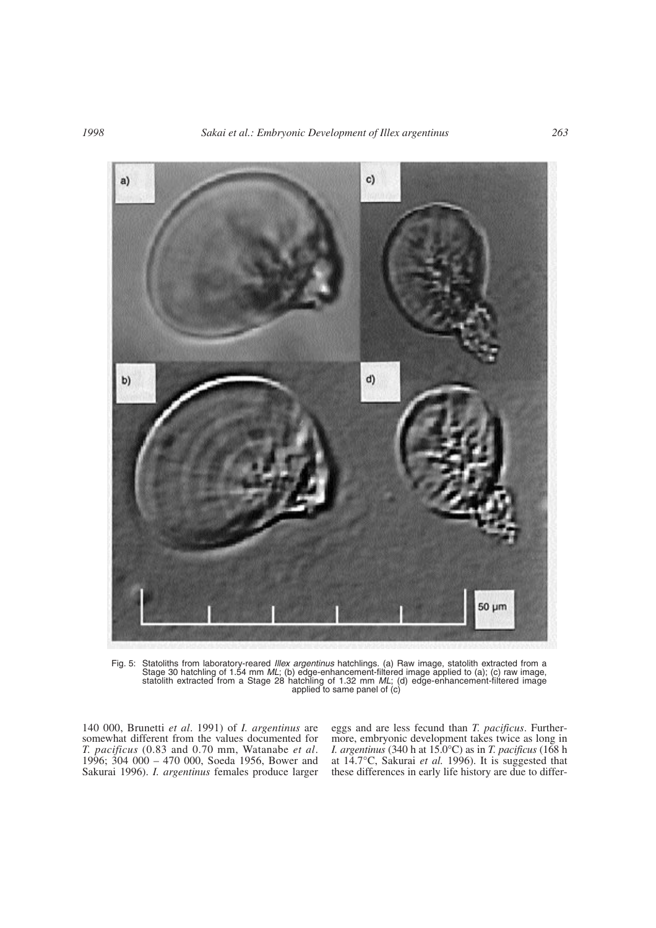

Fig. 5: Statoliths from laboratory-reared *Illex argentinus* hatchlings. (a) Raw image, statolith extracted from a Stage 30 hatchling of 1.54 mm *ML*; (b) edge-enhancement-filtered image applied to (a); (c) raw image, statolith extracted from a Stage 28 hatchling of 1.32 mm *ML*; (d) edge-enhancement-filtered image applied to same panel of (c)

140 000, Brunetti *et al*. 1991) of *I. argentinus* are somewhat different from the values documented for *T. pacificus* (0.83 and 0.70 mm, Watanabe *et al*. 1996; 304 000 – 470 000, Soeda 1956, Bower and Sakurai 1996). *I. argentinus* females produce larger eggs and are less fecund than *T. pacificus*. Furthermore, embryonic development takes twice as long in *I. argentinus* (340 h at 15.0°C) as in *T. pacificus* (168 h at 14.7°C, Sakurai *et al.* 1996). It is suggested that these differences in early life history are due to differ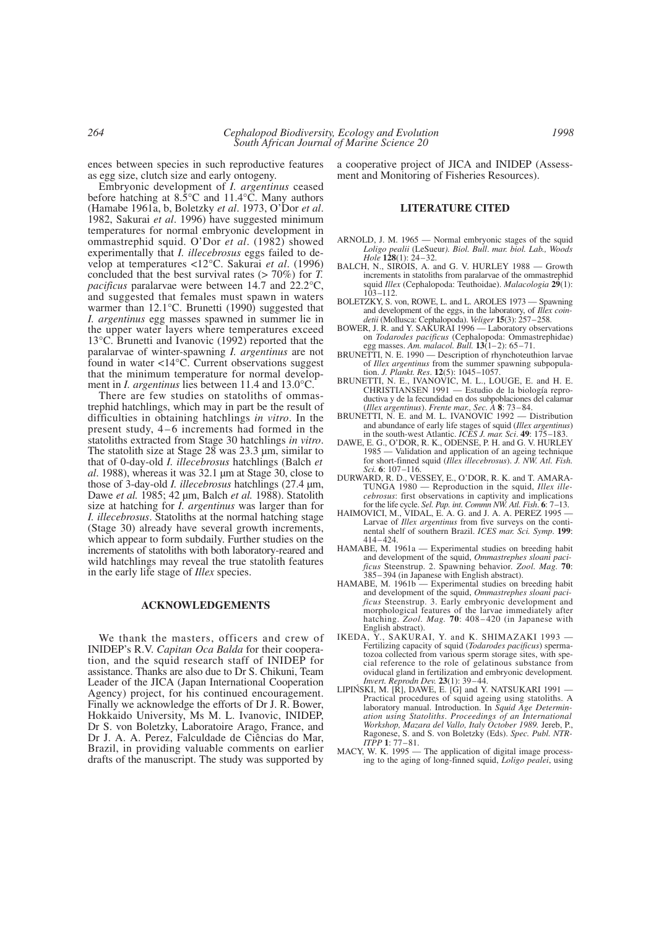ences between species in such reproductive features as egg size, clutch size and early ontogeny.

Embryonic development of *I. argentinus* ceased before hatching at 8.5°C and 11.4°C. Many authors (Hamabe 1961a, b, Boletzky *et al*. 1973, O'Dor *et al*. 1982, Sakurai *et al*. 1996) have suggested minimum temperatures for normal embryonic development in ommastrephid squid. O'Dor *et al*. (1982) showed experimentally that *I. illecebrosus* eggs failed to develop at temperatures <12°C. Sakurai *et al*. (1996) concluded that the best survival rates (> 70%) for *T. pacificus* paralarvae were between 14.7 and 22.2°C, and suggested that females must spawn in waters warmer than 12.1°C. Brunetti (1990) suggested that *I. argentinus* egg masses spawned in summer lie in the upper water layers where temperatures exceed 13°C. Brunetti and Ivanovic (1992) reported that the paralarvae of winter-spawning *I. argentinus* are not found in water <14°C. Current observations suggest that the minimum temperature for normal development in *I. argentinus* lies between 11.4 and 13.0°C.

There are few studies on statoliths of ommastrephid hatchlings, which may in part be the result of difficulties in obtaining hatchlings *in vitro*. In the present study, 4 – 6 increments had formed in the statoliths extracted from Stage 30 hatchlings *in vitro*. The statolith size at Stage 28 was 23.3 µm, similar to that of 0-day-old *I. illecebrosus* hatchlings (Balch *et al*. 1988), whereas it was 32.1 µm at Stage 30, close to those of 3-day-old *I. illecebrosus* hatchlings (27.4 µm, Dawe *et al.* 1985; 42 µm, Balch *et al.* 1988). Statolith size at hatching for *I. argentinus* was larger than for *I. illecebrosus*. Statoliths at the normal hatching stage (Stage 30) already have several growth increments, which appear to form subdaily. Further studies on the increments of statoliths with both laboratory-reared and wild hatchlings may reveal the true statolith features in the early life stage of *Illex* species.

#### **ACKNOWLEDGEMENTS**

We thank the masters, officers and crew of INIDEP's R.V. *Capitan Oca Balda* for their cooperation, and the squid research staff of INIDEP for assistance. Thanks are also due to Dr S. Chikuni, Team Leader of the JICA (Japan International Cooperation Agency) project, for his continued encouragement. Finally we acknowledge the efforts of Dr J. R. Bower, Hokkaido University, Ms M. L. Ivanovic, INIDEP, Dr S. von Boletzky, Laboratoire Arago, France, and Dr J. A. A. Perez, Falculdade de Ciências do Mar, Brazil, in providing valuable comments on earlier drafts of the manuscript. The study was supported by

a cooperative project of JICA and INIDEP (Assessment and Monitoring of Fisheries Resources).

## **LITERATURE CITED**

- ARNOLD, J. M. 1965 Normal embryonic stages of the squid *Loligo pealii* (LeSueur*). Biol. Bull*. *mar. biol. Lab., Woods Hole* **128**(1): 24–32.
- BALCH, N., SIROIS, A. and G. V. HURLEY 1988 Growth increments in statoliths from paralarvae of the ommastrephid squid *Illex* (Cephalopoda: Teuthoidae). *Malacologia* **29**(1):  $103 - 112$ .
- BOLETZKY, S. von, ROWE, L. and L. AROLES 1973 Spawning and development of the eggs, in the laboratory, of *Illex coindetii* (Mollusca: Cephalopoda). *Veliger* **15**(3): 257–258.
- BOWER, J. R. and Y. SAKURAI 1996 Laboratory observations on *Todarodes pacificus* (Cephalopoda: Ommastrephidae) egg masses. *Am. malacol. Bull.* **13**(1–2): 65–71.
- BRUNETTI, N. E. 1990 Description of rhynchoteuthion larvae of *Illex argentinus* from the summer spawning subpopulation. *J. Plankt. Res*. **12**(5): 1045–1057.
- BRUNETTI, N. E., IVANOVIC, M. L., LOUGE, E. and H. E. CHRISTIANSEN 1991 — Estudio de la biología reproductiva y de la fecundidad en dos subpoblaciones del calamar (*Illex argentinus*). *Frente mar., Sec. A* **8**: 73–84.
- BRUNETTI, N. E. and M. L. IVANOVIC 1992 Distribution and abundance of early life stages of squid (*Illex argentinus*) in the south-west Atlantic. *ICES J. mar. Sci*. **49**: 175–183.
- DAWE, E. G., O'DOR, R. K., ODENSE, P. H. and G. V. HURLEY 1985 — Validation and application of an ageing technique for short-finned squid (*Illex illecebrosus*). *J. NW. Atl. Fish. Sci.* **6**: 107–116.
- DURWARD, R. D., VESSEY, E., O'DOR, R. K. and T. AMARA-TUNGA 1980 — Reproduction in the squid, *Illex illecebrosus*: first observations in captivity and implications for the life cycle. *Sel. Pap. int. Commn NW. Atl. Fish*. **6**: 7–13.
- HAIMOVICI, M., VIDAL, E. A. G. and J. A. A. PEREZ 1995 Larvae of *Illex argentinus* from five surveys on the continental shelf of southern Brazil. *ICES mar. Sci. Symp*. **199**: 414–424.
- HAMABE, M. 1961a Experimental studies on breeding habit and development of the squid, *Ommastrephes sloani pacificus* Steenstrup. 2. Spawning behavior*. Zool. Mag.* **70**: 385–394 (in Japanese with English abstract).
- HAMABE, M. 1961b Experimental studies on breeding habit and development of the squid, *Ommastrephes sloani pacificus* Steenstrup. 3. Early embryonic development and morphological features of the larvae immediately after hatching. *Zool. Mag.* **70**: 408–420 (in Japanese with English abstract).<br>IKEDA, Y., SAKUR
- Y., SAKURAI, Y. and K. SHIMAZAKI 1993 Fertilizing capacity of squid (*Todarodes pacificus*) spermatozoa collected from various sperm storage sites, with special reference to the role of gelatinous substance from oviducal gland in fertilization and embryonic development*. Invert. Reprodn Dev.* **23**(1): 39–44.
- LIPIŃSKI, M. [R], DAWE, E. [G] and Y. NATSUKARI 1991 -Practical procedures of squid ageing using statoliths. A laboratory manual. Introduction. In *Squid Age Determination using Statoliths*. *Proceedings of an International Workshop, Mazara del Vallo, Italy October 1989.* Jereb, P., Ragonese, S. and S. von Boletzky (Eds). *Spec. Publ. NTR-ITPP* **1**: 77–81.
- MACY, W. K. 1995 The application of digital image processing to the aging of long-finned squid, *Loligo pealei*, using